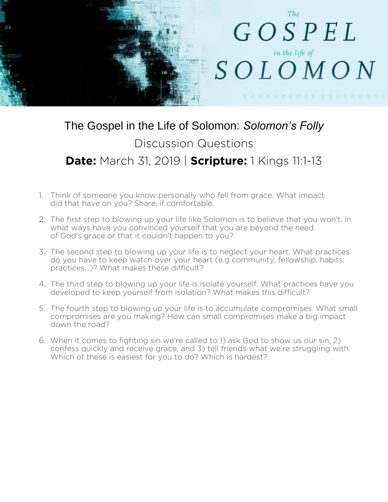

## The Gospel in the Life of Solomon: *Solomon's Folly* Discussion Questions **Date:** March 31, 2019 | **Scripture:** 1 Kings 11:1-13

- 1. Think of someone you know personally who fell from grace. What impact did that have on you? Share, if comfortable.
- 2. The first step to blowing up your life like Solomon is to believe that you won't. In what ways have you convinced yourself that you are beyond the need of God's grace or that it couldn't happen to you?
- 3. The second step to blowing up your life is to neglect your heart. What practices do you have to keep watch over your heart (e.g community, fellowship, habits, practices...)? What makes these difficult?
- 4. The third step to blowing up your life is isolate yourself. What practices have you developed to keep yourself from isolation? What makes this difficult?
- 5. The fourth step to blowing up your life is to accumulate compromises. What small compromises are you making? How can small compromises make a big impact down the road?
- 6. When it comes to fighting sin we're called to 1) ask God to show us our sin, 2) confess quickly and receive grace, and 3) tell friends what we're struggling with. Which of these is easiest for you to do? Which is hardest?